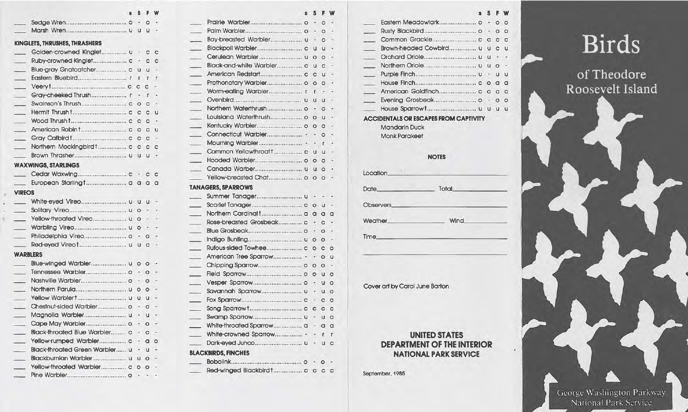## **KINGLETS, THRUSHES, THRASHERS**

| $\overline{\phantom{a}}$ | Golden-crowned Kinglet u           | $\rightarrow$            | $\mathbf C$    | $\mathbf C$              |
|--------------------------|------------------------------------|--------------------------|----------------|--------------------------|
| $\overline{\phantom{0}}$ |                                    | $\sim$                   | c <sub>c</sub> |                          |
| $\sim$                   |                                    |                          | u u            | $\sim$                   |
| $\overline{\phantom{0}}$ |                                    |                          | r r            | $\mathbf{r}$             |
| $\sim$ 100 $\pm$         |                                    | $C$ $C$                  |                | ۰                        |
| $\sim$ $-$               |                                    |                          | $ r$           |                          |
|                          |                                    |                          | O <sub>C</sub> | $\overline{\phantom{a}}$ |
|                          |                                    | C                        | C              | <b>U</b>                 |
|                          |                                    | C                        | c              | $\sim$                   |
|                          |                                    | $\mathbf{C}$             | C              | u                        |
|                          |                                    | $\circ$                  | C              | ÷                        |
| $\overline{\phantom{a}}$ | Northern Mockingbirdt c c c        |                          |                | $\overline{c}$           |
|                          |                                    |                          | <b>u</b>       | ٠                        |
|                          | <b>WAXWINGS, STARLINGS</b>         |                          |                |                          |
|                          |                                    |                          |                |                          |
|                          |                                    |                          |                |                          |
| <b>VIREOS</b>            |                                    |                          |                |                          |
|                          | White-eyed Vireo u u u             |                          |                | $\overline{\phantom{a}}$ |
|                          |                                    |                          |                |                          |
| $\sim$                   |                                    |                          |                | $\sim$                   |
| $\overline{\phantom{a}}$ | Warbling Vireo u o -               |                          |                | $\sim$                   |
|                          |                                    |                          |                | $\overline{\phantom{a}}$ |
| $\sim$ $-$               |                                    |                          |                |                          |
| <b>WARBLERS</b>          |                                    |                          |                |                          |
|                          | Blue-winged Warbler u o o -        |                          |                |                          |
| $\sim$ $-$               | Tennessee Warbler o - o -          |                          |                |                          |
| $\equiv$                 |                                    |                          |                | $\ddot{\phantom{1}}$     |
| المستر                   |                                    |                          | 0 <sub>0</sub> | $\sim$                   |
| $\sim$                   |                                    | <b>u</b>                 | $U$ -          |                          |
| $\overline{\phantom{a}}$ |                                    | $ \circ$                 |                | $\overline{a}$           |
| $\sim$                   |                                    | $\overline{\phantom{a}}$ | <b>u</b>       | $\overline{\phantom{a}}$ |
| $\overline{\phantom{0}}$ |                                    | $\overline{\phantom{a}}$ | $\circ$        | $\sim$                   |
| $\overline{\phantom{a}}$ | Black-throated Blue Warbler c      | $\overline{\phantom{a}}$ | $\overline{c}$ | $\overline{\phantom{a}}$ |
| $\overline{\phantom{0}}$ | Yellow-rumped Warbler c - a        |                          |                | $\circ$                  |
| $\sim$ 100 $\mu$         | Black-throated Green Warbler u - u |                          |                | $\overline{\phantom{a}}$ |
| $\overline{\phantom{a}}$ | Blackburnian Warbler u u o -       |                          |                |                          |
| $\overline{\phantom{a}}$ | Yellow-throated Warbler c o o -    |                          |                |                          |
|                          |                                    | ٠                        | $\sim$ $\sim$  |                          |

|                                                                                 | $0 -$                           |                                              |
|---------------------------------------------------------------------------------|---------------------------------|----------------------------------------------|
|                                                                                 | $\Omega$ -                      | 0 <sub>0</sub>                               |
| <b>KINGLETS, THRUSHES, THRASHERS</b>                                            | $\circ$ -                       |                                              |
| Golden-crowned Kinglet u - c c                                                  |                                 | Brown-headed Cowbird u u c u                 |
| $C$ $C$                                                                         |                                 |                                              |
|                                                                                 | Black-and-white Warbler c u c - |                                              |
|                                                                                 | $U -$                           |                                              |
|                                                                                 | $\circ$                         |                                              |
|                                                                                 |                                 |                                              |
|                                                                                 | $U -$                           |                                              |
|                                                                                 | $0 -$                           |                                              |
|                                                                                 |                                 | <b>ACCIDENTALS OR ESCAPES FROM CAPTIVITY</b> |
|                                                                                 |                                 | <b>Mandarin Duck</b>                         |
|                                                                                 |                                 | <b>Monk Parakeet</b>                         |
|                                                                                 |                                 |                                              |
|                                                                                 |                                 |                                              |
|                                                                                 |                                 | <b>NOTES</b>                                 |
| <b>WAXWINGS, STARLINGS</b>                                                      | Canada Warber u u o -           | Location.                                    |
|                                                                                 |                                 |                                              |
|                                                                                 | <b>TANAGERS, SPARROWS</b>       | Total<br><b>Date</b>                         |
| <b>VIREOS</b>                                                                   |                                 |                                              |
|                                                                                 |                                 | Observers                                    |
|                                                                                 |                                 |                                              |
|                                                                                 | $C -$                           | <b>Wind</b><br>Weather.                      |
| Warbling Vireo u o                                                              |                                 |                                              |
|                                                                                 |                                 | <b>Time</b>                                  |
|                                                                                 |                                 |                                              |
| <b>WARBLERS</b>                                                                 | $O$ U                           |                                              |
|                                                                                 |                                 |                                              |
|                                                                                 |                                 |                                              |
|                                                                                 |                                 |                                              |
| Northern Parula u o o                                                           | $U$ $O$                         | Cover art by Carol June Barton               |
|                                                                                 | $C$ $O$                         |                                              |
|                                                                                 |                                 |                                              |
| Magnolia Warbler u - u                                                          |                                 |                                              |
|                                                                                 |                                 |                                              |
| Black-throated Blue Warbler c -<br>$\mathbf{C}$                                 |                                 | <b>UNITED STATES</b>                         |
|                                                                                 | $U$ $C$                         |                                              |
| Black-throated Green Warbler u - u -                                            | <b>BLACKBIRDS, FINCHES</b>      | <b>DEPARTMENT OF THE INTERIOR</b>            |
| Blackburnian Warbler u u o -                                                    |                                 | <b>NATIONAL PARK SERVICE</b>                 |
| Yellow-throated Warbler c o o -                                                 | $\circ$ -                       |                                              |
| Pine Warbler<br>$\sim$ $\sim$<br>approximately and in the contract of the state |                                 | September, 1985                              |

|  | <b>s</b> S F W     |  |                                 | S S F W | s S F W                                      |
|--|--------------------|--|---------------------------------|---------|----------------------------------------------|
|  | $0 - 0$            |  |                                 |         |                                              |
|  | $U$ $U$ $U$ $\sim$ |  |                                 |         |                                              |
|  |                    |  |                                 |         |                                              |
|  | $U - C C$          |  |                                 |         |                                              |
|  |                    |  |                                 |         |                                              |
|  | $c - c c$          |  | Black-and-white Warbler c u c - |         |                                              |
|  | $cu$ u $-$         |  |                                 |         |                                              |
|  | $T$ $T$ $T$        |  |                                 |         |                                              |
|  | $C_{C}$ $C_{T}$    |  |                                 |         |                                              |
|  | $r - r -$          |  |                                 |         |                                              |
|  | $C$ $O$ $C$ $-$    |  |                                 |         |                                              |
|  | c c c u            |  |                                 |         | <b>ACCIDENTALS OR ESCAPES FROM CAPTIVITY</b> |
|  | c c c              |  |                                 |         | <b>Mandarin Duck</b>                         |
|  | cccu               |  |                                 |         |                                              |

## **NOTES**

# **UNITED STATES DEPARTMENT OF THE INTERIOR NATIONAL PARK SERVICE**

# **Birds**

of Theodore Roosevelt Island

George Washington Parkway National Park Service